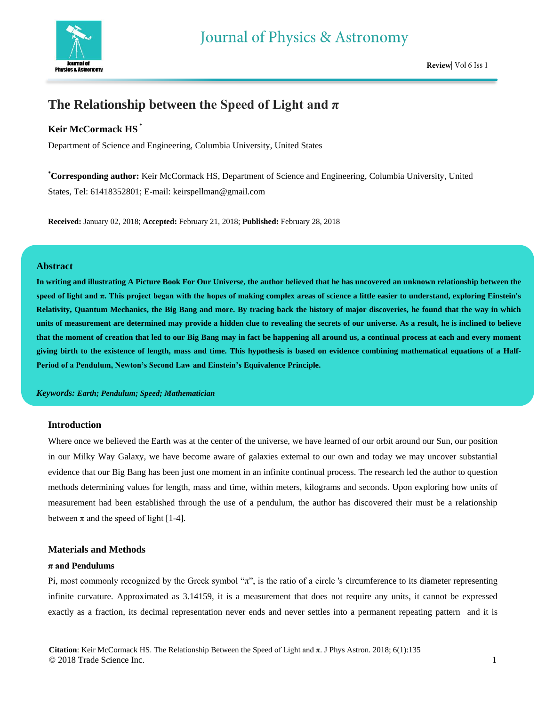

# **The Relationship between the Speed of Light and π**

### **Keir McCormack HS \***

Department of Science and Engineering, Columbia University, United States

**\*Corresponding author:** Keir McCormack HS, Department of Science and Engineering, Columbia University, United States, Tel: 61418352801; E-mail: keirspellman@gmail.com

**Received:** January 02, 2018; **Accepted:** February 21, 2018; **Published:** February 28, 2018

#### **Abstract**

**In writing and illustrating A Picture Book For Our Universe, the author believed that he has uncovered an unknown relationship between the speed of light and π. This project began with the hopes of making complex areas of science a little easier to understand, exploring Einstein's Relativity, Quantum Mechanics, the Big Bang and more. By tracing back the history of major discoveries, he found that the way in which units of measurement are determined may provide a hidden clue to revealing the secrets of our universe. As a result, he is inclined to believe that the moment of creation that led to our Big Bang may in fact be happening all around us, a continual process at each and every moment giving birth to the existence of length, mass and time. This hypothesis is based on evidence combining mathematical equations of a Half-Period of a Pendulum, Newton's Second Law and Einstein's Equivalence Principle.**

*Keywords: Earth; Pendulum; Speed; Mathematician*

#### **Introduction**

Where once we believed the Earth was at the center of the universe, we have learned of our orbit around our Sun, our position in our Milky Way Galaxy, we have become aware of galaxies external to our own and today we may uncover substantial evidence that our Big Bang has been just one moment in an infinite continual process. The research led the author to question methods determining values for length, mass and time, within meters, kilograms and seconds. Upon exploring how units of measurement had been established through the use of a pendulum, the author has discovered their must be a relationship between  $\pi$  and the speed of light [1-4].

### **Materials and Methods**

#### **π and Pendulums**

Pi, most commonly recognized by the Greek symbol " $\pi$ ", is the ratio of a circle 's circumference to its diameter representing infinite curvature. Approximated as 3.14159, it is a measurement that does not require any units, it cannot be expressed exactly as a fraction, its decimal representation never ends and never settles into a permanent repeating pattern and it is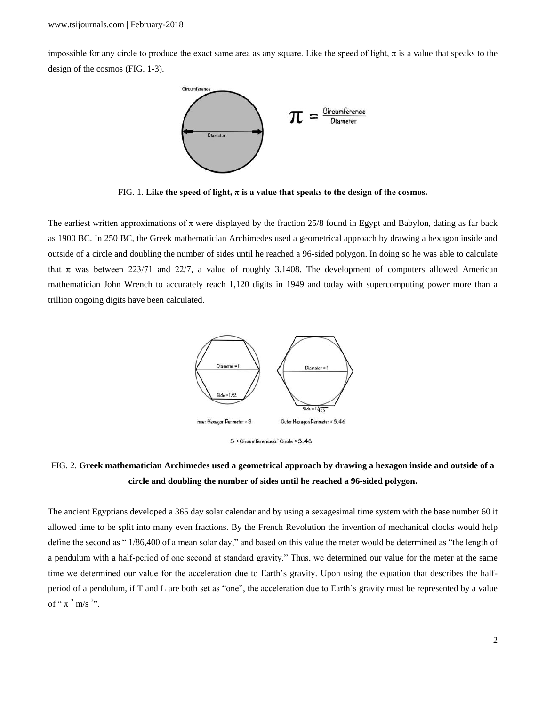impossible for any circle to produce the exact same area as any square. Like the speed of light,  $\pi$  is a value that speaks to the design of the cosmos (FIG. 1-3).



FIG. 1. Like the speed of light,  $\pi$  is a value that speaks to the design of the cosmos.

The earliest written approximations of  $\pi$  were displayed by the fraction 25/8 found in Egypt and Babylon, dating as far back as 1900 BC. In 250 BC, the Greek mathematician Archimedes used a geometrical approach by drawing a hexagon inside and outside of a circle and doubling the number of sides until he reached a 96-sided polygon. In doing so he was able to calculate that  $\pi$  was between 223/71 and 22/7, a value of roughly 3.1408. The development of computers allowed American mathematician John Wrench to accurately reach 1,120 digits in 1949 and today with supercomputing power more than a trillion ongoing digits have been calculated.





## FIG. 2. **Greek mathematician Archimedes used a geometrical approach by drawing a hexagon inside and outside of a circle and doubling the number of sides until he reached a 96-sided polygon.**

The ancient Egyptians developed a 365 day solar calendar and by using a sexagesimal time system with the base number 60 it allowed time to be split into many even fractions. By the French Revolution the invention of mechanical clocks would help define the second as " 1/86,400 of a mean solar day," and based on this value the meter would be determined as "the length of a pendulum with a half-period of one second at standard gravity." Thus, we determined our value for the meter at the same time we determined our value for the acceleration due to Earth's gravity. Upon using the equation that describes the halfperiod of a pendulum, if T and L are both set as "one", the acceleration due to Earth's gravity must be represented by a value of "  $\pi^2$  m/s <sup>2</sup>".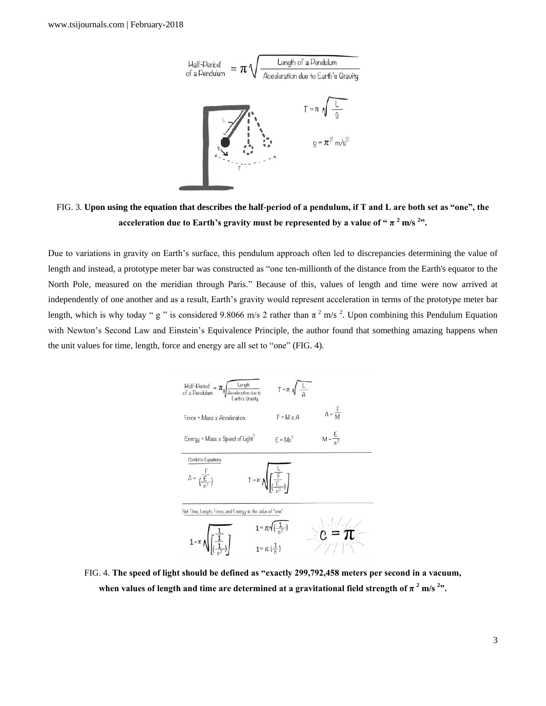

FIG. 3. **Upon using the equation that describes the half-period of a pendulum, if T and L are both set as "one", the acceleration due to Earth's gravity must be represented by a value of "**  $\pi$  $^{2}$  **m/s**  $^{2}$ **".** 

Due to variations in gravity on Earth's surface, this pendulum approach often led to discrepancies determining the value of length and instead, a prototype meter bar was constructed as "one ten-millionth of the distance from the Earth's equator to the North Pole, measured on the meridian through Paris." Because of this, values of length and time were now arrived at independently of one another and as a result, Earth's gravity would represent acceleration in terms of the prototype meter bar length, which is why today " g " is considered 9.8066 m/s 2 rather than  $\pi^2$  m/s <sup>2</sup>. Upon combining this Pendulum Equation with Newton's Second Law and Einstein's Equivalence Principle, the author found that something amazing happens when the unit values for time, length, force and energy are all set to "one" (FIG. 4).



FIG. 4. **The speed of light should be defined as "exactly 299,792,458 meters per second in a vacuum,** when values of length and time are determined at a gravitational field strength of  $\pi$   $^{2}$  m/s  $^{2}$ ".